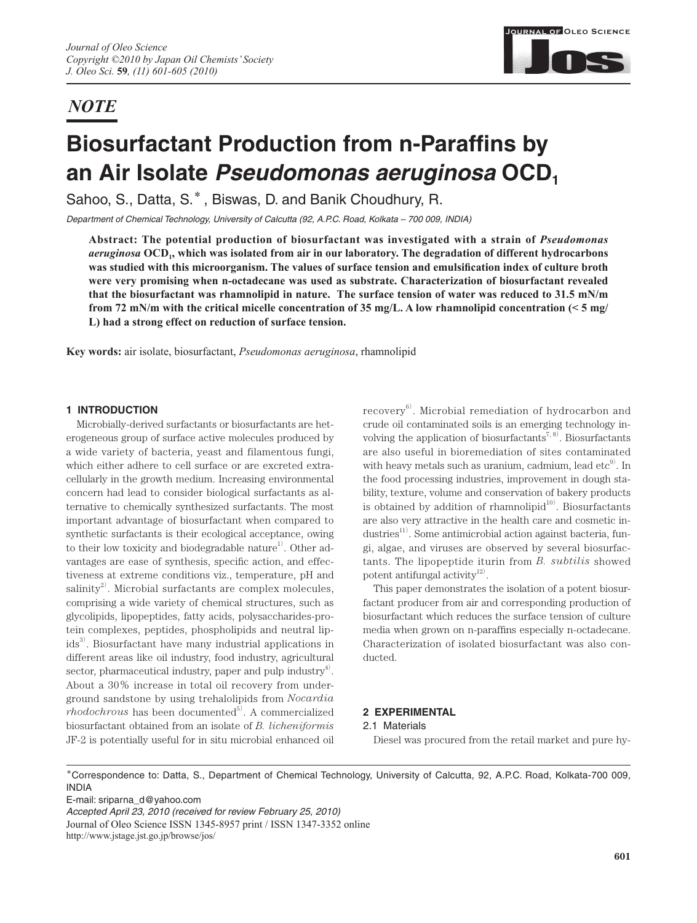# *NOTE*



# **Biosurfactant Production from n-Paraffins by** an Air Isolate *Pseudomonas aeruginosa* OCD<sub>1</sub>

Sahoo, S., Datta, S.**\*** , Biswas, D. and Banik Choudhury, R.

*Department of Chemical Technology, University of Calcutta (92, A.P.C. Road, Kolkata – 700 009, INDIA)*

**Abstract: The potential production of biosurfactant was investigated with a strain of** *Pseudomonas aeruginosa* **OCD1, which was isolated from air in our laboratory. The degradation of different hydrocarbons**  was studied with this microorganism. The values of surface tension and emulsification index of culture broth **were very promising when n-octadecane was used as substrate. Characterization of biosurfactant revealed that the biosurfactant was rhamnolipid in nature. The surface tension of water was reduced to 31.5 mN/m from 72 mN/m with the critical micelle concentration of 35 mg/L. A low rhamnolipid concentration (< 5 mg/ L) had a strong effect on reduction of surface tension.** 

**Key words:** air isolate, biosurfactant, *Pseudomonas aeruginosa*, rhamnolipid

# **1 INTRODUCTION**

Microbially-derived surfactants or biosurfactants are heterogeneous group of surface active molecules produced by a wide variety of bacteria, yeast and filamentous fungi, which either adhere to cell surface or are excreted extracellularly in the growth medium. Increasing environmental concern had lead to consider biological surfactants as alternative to chemically synthesized surfactants. The most important advantage of biosurfactant when compared to synthetic surfactants is their ecological acceptance, owing to their low toxicity and biodegradable nature<sup>1</sup>. Other advantages are ease of synthesis, specific action, and effectiveness at extreme conditions viz., temperature, pH and salinity $^{2)}$ . Microbial surfactants are complex molecules, comprising a wide variety of chemical structures, such as glycolipids, lipopeptides, fatty acids, polysaccharides-protein complexes, peptides, phospholipids and neutral lipids<sup>3)</sup>. Biosurfactant have many industrial applications in different areas like oil industry, food industry, agricultural sector, pharmaceutical industry, paper and pulp industry<sup>4)</sup>. About a 30% increase in total oil recovery from underground sandstone by using trehalolipids from *Nocardia*   $rhodochrows$  has been documented<sup>5)</sup>. A commercialized biosurfactant obtained from an isolate of *B. licheniformis* JF-2 is potentially useful for in situ microbial enhanced oil

recovery<sup>6)</sup>. Microbial remediation of hydrocarbon and crude oil contaminated soils is an emerging technology involving the application of biosurfactants<sup>7, 8)</sup>. Biosurfactants are also useful in bioremediation of sites contaminated with heavy metals such as uranium, cadmium, lead  $\text{etc}^9$ . In the food processing industries, improvement in dough stability, texture, volume and conservation of bakery products is obtained by addition of rhamnolipid $10$ <sup>10</sup>. Biosurfactants are also very attractive in the health care and cosmetic industries<sup>11)</sup>. Some antimicrobial action against bacteria, fungi, algae, and viruses are observed by several biosurfactants. The lipopeptide iturin from *B. subtilis* showed potent antifungal activity $12$ .

This paper demonstrates the isolation of a potent biosurfactant producer from air and corresponding production of biosurfactant which reduces the surface tension of culture media when grown on n-paraffins especially n-octadecane. Characterization of isolated biosurfactant was also conducted.

# **2 EXPERIMENTAL**

# 2.1 Materials

Diesel was procured from the retail market and pure hy-

**\***Correspondence to: Datta, S., Department of Chemical Technology, University of Calcutta, 92, A.P.C. Road, Kolkata-700 009, INDIA

E-mail: sriparna\_d@yahoo.com

*Accepted April 23, 2010 (received for review February 25, 2010)* Journal of Oleo Science ISSN 1345-8957 print / ISSN 1347-3352 online http://www.jstage.jst.go.jp/browse/jos/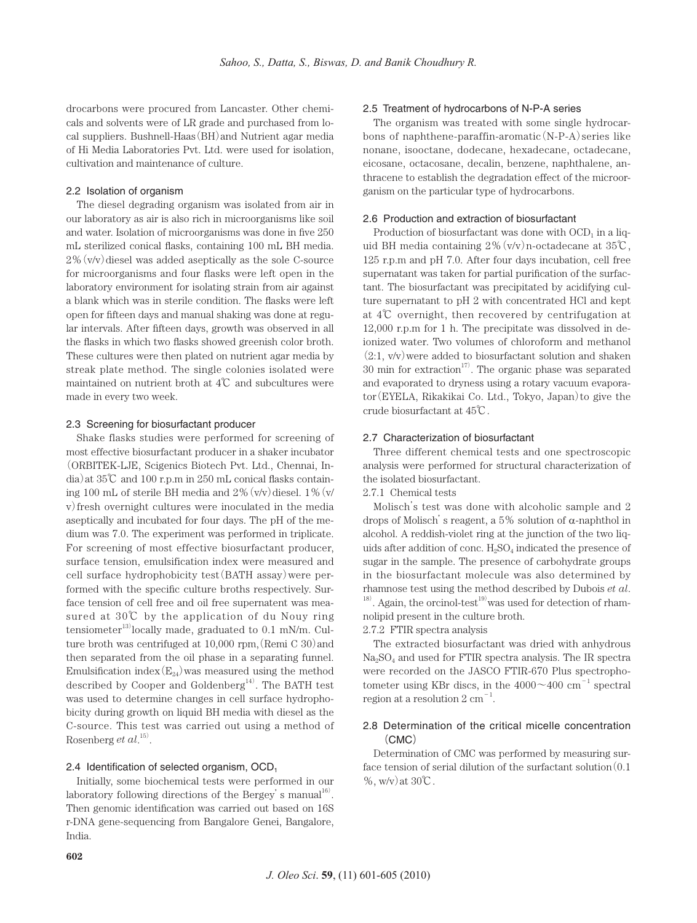drocarbons were procured from Lancaster. Other chemicals and solvents were of LR grade and purchased from local suppliers. Bushnell-Haas(BH)and Nutrient agar media of Hi Media Laboratories Pvt. Ltd. were used for isolation, cultivation and maintenance of culture.

# 2.2 Isolation of organism

The diesel degrading organism was isolated from air in our laboratory as air is also rich in microorganisms like soil and water. Isolation of microorganisms was done in five 250 mL sterilized conical flasks, containing 100 mL BH media.  $2\%$  (v/v) diesel was added aseptically as the sole C-source for microorganisms and four flasks were left open in the laboratory environment for isolating strain from air against a blank which was in sterile condition. The flasks were left open for fifteen days and manual shaking was done at regular intervals. After fifteen days, growth was observed in all the flasks in which two flasks showed greenish color broth. These cultures were then plated on nutrient agar media by streak plate method. The single colonies isolated were maintained on nutrient broth at 4℃ and subcultures were made in every two week.

## 2.3 Screening for biosurfactant producer

Shake flasks studies were performed for screening of most effective biosurfactant producer in a shaker incubator (ORBITEK-LJE, Scigenics Biotech Pvt. Ltd., Chennai, In- $\text{dia}$ ) at 35°C and 100 r.p.m in 250 mL conical flasks containing 100 mL of sterile BH media and  $2\%$  (v/v) diesel. 1% (v/ v)fresh overnight cultures were inoculated in the media aseptically and incubated for four days. The pH of the medium was 7.0. The experiment was performed in triplicate. For screening of most effective biosurfactant producer, surface tension, emulsification index were measured and cell surface hydrophobicity test(BATH assay)were performed with the specific culture broths respectively. Surface tension of cell free and oil free supernatent was measured at 30℃ by the application of du Nouy ring  $tensioneter<sup>13</sup>locally made, graduated to 0.1 mN/m. Cul$ ture broth was centrifuged at  $10,000$  rpm, (Remi C 30) and then separated from the oil phase in a separating funnel. Emulsification index  $(E_{24})$  was measured using the method described by Cooper and Goldenberg<sup>14)</sup>. The BATH test was used to determine changes in cell surface hydrophobicity during growth on liquid BH media with diesel as the C-source. This test was carried out using a method of Rosenberg *et al*.<sup>15)</sup>.

#### 2.4 Identification of selected organism,  $OCD_1$

Initially, some biochemical tests were performed in our laboratory following directions of the Bergey's manual $^{16}$ . Then genomic identification was carried out based on 16S r-DNA gene-sequencing from Bangalore Genei, Bangalore, India.

# 2.5 Treatment of hydrocarbons of N-P-A series

The organism was treated with some single hydrocarbons of naphthene-paraffin-aromatic(N-P-A)series like nonane, isooctane, dodecane, hexadecane, octadecane, eicosane, octacosane, decalin, benzene, naphthalene, anthracene to establish the degradation effect of the microorganism on the particular type of hydrocarbons.

#### 2.6 Production and extraction of biosurfactant

Production of biosurfactant was done with  $OCD<sub>1</sub>$  in a liquid BH media containing  $2\%$  (v/v) n-octadecane at  $35\textdegree$ C, 125 r.p.m and pH 7.0. After four days incubation, cell free supernatant was taken for partial purification of the surfactant. The biosurfactant was precipitated by acidifying culture supernatant to pH 2 with concentrated HCl and kept at 4℃ overnight, then recovered by centrifugation at 12,000 r.p.m for 1 h. The precipitate was dissolved in deionized water. Two volumes of chloroform and methanol  $(2:1, v/v)$  were added to biosurfactant solution and shaken 30 min for extraction<sup>17</sup>. The organic phase was separated and evaporated to dryness using a rotary vacuum evaporator(EYELA, Rikakikai Co. Ltd., Tokyo, Japan)to give the crude biosurfactant at 45℃.

#### 2.7 Characterization of biosurfactant

Three different chemical tests and one spectroscopic analysis were performed for structural characterization of the isolated biosurfactant.

2.7.1 Chemical tests

Molisch's test was done with alcoholic sample and 2 drops of Molisch's reagent, a 5% solution of α-naphthol in alcohol. A reddish-violet ring at the junction of the two liquids after addition of conc.  $H_2SO_4$  indicated the presence of sugar in the sample. The presence of carbohydrate groups in the biosurfactant molecule was also determined by rhamnose test using the method described by Dubois *et al*. 18) . Again, the orcinol-test<sup>19</sup> was used for detection of rhamnolipid present in the culture broth.

2.7.2 FTIR spectra analysis

The extracted biosurfactant was dried with anhydrous  $Na<sub>2</sub>SO<sub>4</sub>$  and used for FTIR spectra analysis. The IR spectra were recorded on the JASCO FTIR-670 Plus spectrophotometer using KBr discs, in the  $4000 \sim 400$  cm<sup>-1</sup> spectral region at a resolution  $2 \text{ cm}^{-1}$ .

# 2.8 Determination of the critical micelle concentration (CMC)

Determination of CMC was performed by measuring surface tension of serial dilution of the surfactant solution  $(0.1)$ %, w/v)at 30℃.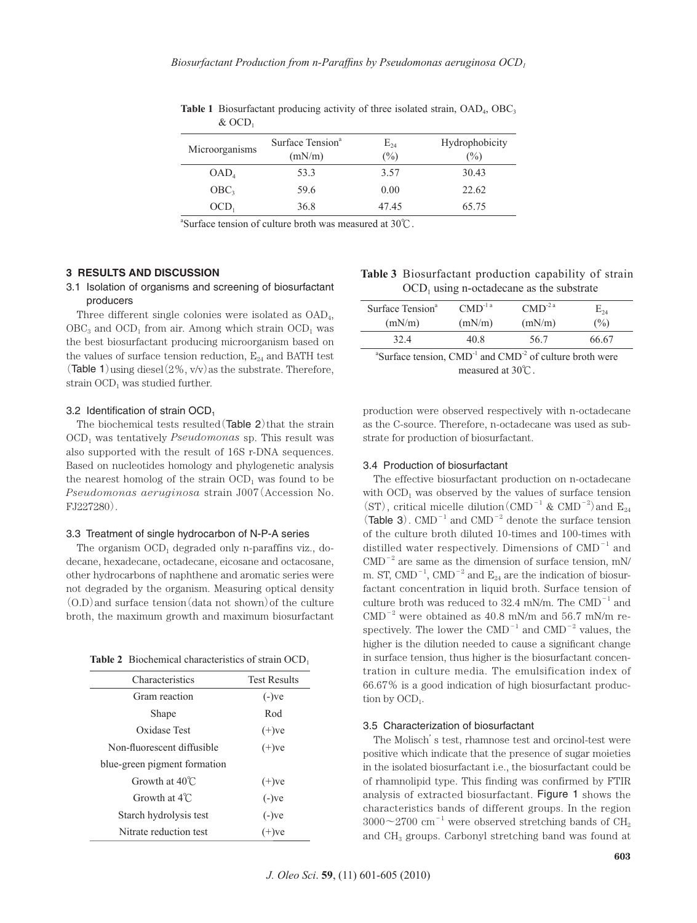| Microorganisms   | Surface Tension <sup>a</sup> | $E_{24}$ | Hydrophobicity |
|------------------|------------------------------|----------|----------------|
|                  | (mN/m)                       | $(\%)$   | $\frac{1}{2}$  |
| OAD <sub>4</sub> | 53.3                         | 3.57     | 30.43          |
| OBC <sub>3</sub> | 59.6                         | 0.00     | 22.62          |
| OCD <sub>1</sub> | 36.8                         | 47.45    | 65.75          |

**Table 1** Biosurfactant producing activity of three isolated strain,  $OAD<sub>4</sub>$ ,  $OBC<sub>3</sub>$  $&$  OCD<sub>1</sub>

a Surface tension of culture broth was measured at 30℃.

# **3 RESULTS AND DISCUSSION**

# 3.1 Isolation of organisms and screening of biosurfactant producers

Three different single colonies were isolated as OAD4,  $OBC<sub>3</sub>$  and  $OCD<sub>1</sub>$  from air. Among which strain  $OCD<sub>1</sub>$  was the best biosurfactant producing microorganism based on the values of surface tension reduction,  $E_{24}$  and BATH test (Table 1) using diesel  $(2\%$ , v/v) as the substrate. Therefore, strain  $OCD<sub>1</sub>$  was studied further.

# 3.2 Identification of strain  $OCD<sub>1</sub>$

The biochemical tests resulted  $(Table 2)$  that the strain OCD1 was tentatively *Pseudomonas* sp. This result was also supported with the result of 16S r-DNA sequences. Based on nucleotides homology and phylogenetic analysis the nearest homolog of the strain  $OCD<sub>1</sub>$  was found to be *Pseudomonas aeruginosa* strain J007(Accession No. FJ227280).

#### 3.3 Treatment of single hydrocarbon of N-P-A series

The organism  $OCD_1$  degraded only n-paraffins viz., dodecane, hexadecane, octadecane, eicosane and octacosane, other hydrocarbons of naphthene and aromatic series were not degraded by the organism. Measuring optical density  $(0,D)$  and surface tension (data not shown) of the culture broth, the maximum growth and maximum biosurfactant

Table 2 Biochemical characteristics of strain OCD<sub>1</sub>

| Characteristics              | <b>Test Results</b> |  |
|------------------------------|---------------------|--|
| Gram reaction                | $(-)$ ve            |  |
| Shape                        | Rod                 |  |
| Oxidase Test                 | $(+)$ ve            |  |
| Non-fluorescent diffusible   | $(+)$ ve            |  |
| blue-green pigment formation |                     |  |
| Growth at $40^{\circ}$ C     | $(+)$ ve            |  |
| Growth at $4^{\circ}$ C.     | $(-)$ ve            |  |
| Starch hydrolysis test       | $(-)$ ve            |  |
| Nitrate reduction test       | $(+)$ ve            |  |

| <b>Table 3</b> Biosurfactant production capability of strain |
|--------------------------------------------------------------|
| $\rm{OCD}_1$ using n-octadecane as the substrate             |

| Surface Tension <sup>a</sup> | $\text{CMD}^{\text{-}1}$ <sup>a</sup> | $\text{CMD}^{\text{-}2a}$ | $\mathrm{E}_{24}$ |  |
|------------------------------|---------------------------------------|---------------------------|-------------------|--|
| (mN/m)                       | (mN/m)                                | (mN/m)                    | $(\%)$            |  |
| 32.4                         | 40 8                                  | 56.7                      | 66.67             |  |
|                              |                                       |                           |                   |  |

<sup>a</sup>Surface tension,  $\text{CMD}^{-1}$  and  $\text{CMD}^{-2}$  of culture broth were measured at 30℃.

production were observed respectively with n-octadecane as the C-source. Therefore, n-octadecane was used as substrate for production of biosurfactant.

# 3.4 Production of biosurfactant

The effective biosurfactant production on n-octadecane with  $\text{OCD}_1$  was observed by the values of surface tension (ST), critical micelle dilution (CMD<sup>-1</sup> & CMD<sup>-2</sup>) and  $E_{24}$ (Table 3).  $\text{CMD}^{-1}$  and  $\text{CMD}^{-2}$  denote the surface tension of the culture broth diluted 10-times and 100-times with distilled water respectively. Dimensions of  $\mathrm{CMD}^{-1}$  and  $\text{CMD}^{-2}$  are same as the dimension of surface tension, mN/ m. ST, CMD<sup>-1</sup>, CMD<sup>-2</sup> and  $E_{24}$  are the indication of biosurfactant concentration in liquid broth. Surface tension of culture broth was reduced to  $32.4$  mN/m. The CMD<sup>-1</sup> and  $\text{CMD}^{-2}$  were obtained as 40.8 mN/m and 56.7 mN/m respectively. The lower the  $\text{CMD}^{-1}$  and  $\text{CMD}^{-2}$  values, the higher is the dilution needed to cause a significant change in surface tension, thus higher is the biosurfactant concentration in culture media. The emulsification index of 66.67% is a good indication of high biosurfactant production by  $OCD_1$ .

#### 3.5 Characterization of biosurfactant

The Molisch's test, rhamnose test and orcinol-test were positive which indicate that the presence of sugar moieties in the isolated biosurfactant i.e., the biosurfactant could be of rhamnolipid type. This finding was confirmed by FTIR analysis of extracted biosurfactant. Figure 1 shows the characteristics bands of different groups. In the region  $3000\negthinspace\negthinspace\negthinspace\negthinspace\negthinspace 2700$  cm<sup>-1</sup> were observed stretching bands of CH<sub>2</sub> and CH3 groups. Carbonyl stretching band was found at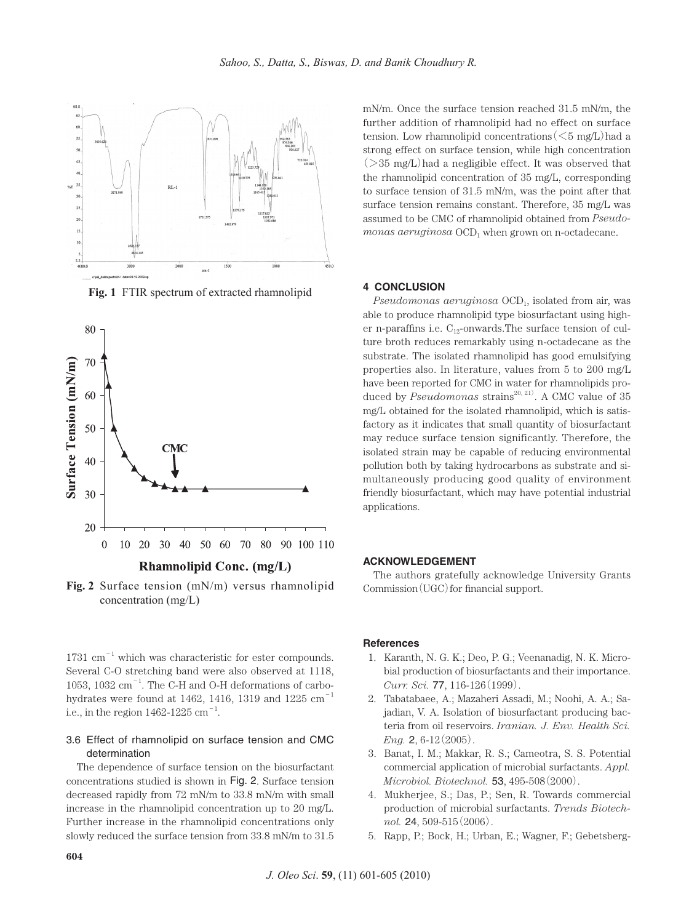

**Fig. 1** FTIR spectrum of extracted rhamnolipid



**Fig. 2** Surface tension (mN/m) versus rhamnolipid concentration (mg/L)

 $1731 \text{ cm}^{-1}$  which was characteristic for ester compounds. Several C-O stretching band were also observed at 1118, 1053, 1032  $\text{cm}^{-1}$ . The C-H and O-H deformations of carbohydrates were found at 1462, 1416, 1319 and 1225  $\text{cm}^{-1}$ i.e., in the region  $1462$ -1225  $\text{cm}^{-1}$ .

# 3.6 Effect of rhamnolipid on surface tension and CMC determination

The dependence of surface tension on the biosurfactant concentrations studied is shown in Fig. 2. Surface tension decreased rapidly from 72 mN/m to 33.8 mN/m with small increase in the rhamnolipid concentration up to 20 mg/L. Further increase in the rhamnolipid concentrations only slowly reduced the surface tension from 33.8 mN/m to 31.5 mN/m. Once the surface tension reached 31.5 mN/m, the further addition of rhamnolipid had no effect on surface tension. Low rhamnolipid concentrations  $(<5 \text{ mg/L})$  had a strong effect on surface tension, while high concentration  $(>35 \text{ mg/L})$  had a negligible effect. It was observed that the rhamnolipid concentration of 35 mg/L, corresponding to surface tension of 31.5 mN/m, was the point after that surface tension remains constant. Therefore, 35 mg/L was assumed to be CMC of rhamnolipid obtained from *Pseudo* $monas$   $aeruginosa$   $OCD<sub>1</sub>$  when grown on n-octadecane.

# **4 CONCLUSION**

*Pseudomonas aeruginosa* OCD<sub>1</sub>, isolated from air, was able to produce rhamnolipid type biosurfactant using higher n-paraffins i.e.  $C_{12}$ -onwards. The surface tension of culture broth reduces remarkably using n-octadecane as the substrate. The isolated rhamnolipid has good emulsifying properties also. In literature, values from 5 to 200 mg/L have been reported for CMC in water for rhamnolipids produced by *Pseudomonas* strains<sup>20, 21</sup>. A CMC value of 35 mg/L obtained for the isolated rhamnolipid, which is satisfactory as it indicates that small quantity of biosurfactant may reduce surface tension significantly. Therefore, the isolated strain may be capable of reducing environmental pollution both by taking hydrocarbons as substrate and simultaneously producing good quality of environment friendly biosurfactant, which may have potential industrial applications.

#### **ACKNOWLEDGEMENT**

The authors gratefully acknowledge University Grants  $Commission(UGC)$  for financial support.

# **References**

- 1.Karanth, N. G. K.; Deo, P. G.; Veenanadig, N. K. Microbial production of biosurfactants and their importance. *Curr. Sci.* 77, 116-126(1999).
- 2.Tabatabaee, A.; Mazaheri Assadi, M.; Noohi, A. A.; Sajadian, V. A. Isolation of biosurfactant producing bacteria from oil reservoirs. *Iranian. J. Env. Health Sci. Eng.* **2**, 6-12(2005).
- 3.Banat, I. M.; Makkar, R. S.; Cameotra, S. S. Potential commercial application of microbial surfactants. *Appl. Microbiol. Biotechnol.* 53, 495-508(2000).
- 4.Mukherjee, S.; Das, P.; Sen, R. Towards commercial production of microbial surfactants. *Trends Biotechnol.* 24, 509-515(2006).
- 5. Rapp, P.; Bock, H.; Urban, E.; Wagner, F.; Gebetsberg-